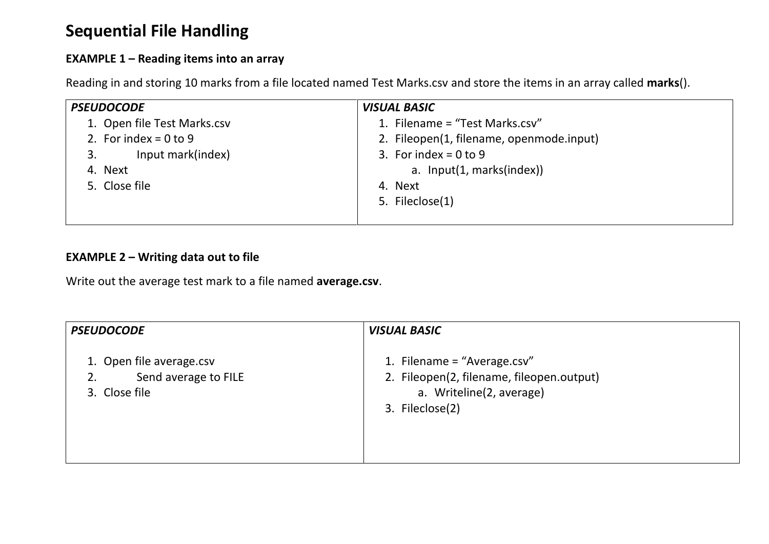# **Sequential File Handling**

## **EXAMPLE 1 – Reading items into an array**

Reading in and storing 10 marks from a file located named Test Marks.csv and store the items in an array called **marks**().

| <b>PSEUDOCODE</b>           | <b>VISUAL BASIC</b>                      |
|-----------------------------|------------------------------------------|
| 1. Open file Test Marks.csv | 1. Filename = "Test Marks.csv"           |
| 2. For index = $0$ to $9$   | 2. Fileopen(1, filename, openmode.input) |
| Input mark(index)<br>3.     | 3. For index = $0$ to $9$                |
| 4. Next                     | a. Input(1, marks(index))                |
| 5. Close file               | 4. Next                                  |
|                             | 5. Fileclose(1)                          |
|                             |                                          |

## **EXAMPLE 2 – Writing data out to file**

Write out the average test mark to a file named **average.csv**.

| <b>PSEUDOCODE</b>                                                 | <b>VISUAL BASIC</b>                                                                                                     |
|-------------------------------------------------------------------|-------------------------------------------------------------------------------------------------------------------------|
| 1. Open file average.csv<br>Send average to FILE<br>3. Close file | 1. Filename = "Average.csv"<br>2. Fileopen(2, filename, fileopen.output)<br>a. Writeline(2, average)<br>3. Fileclose(2) |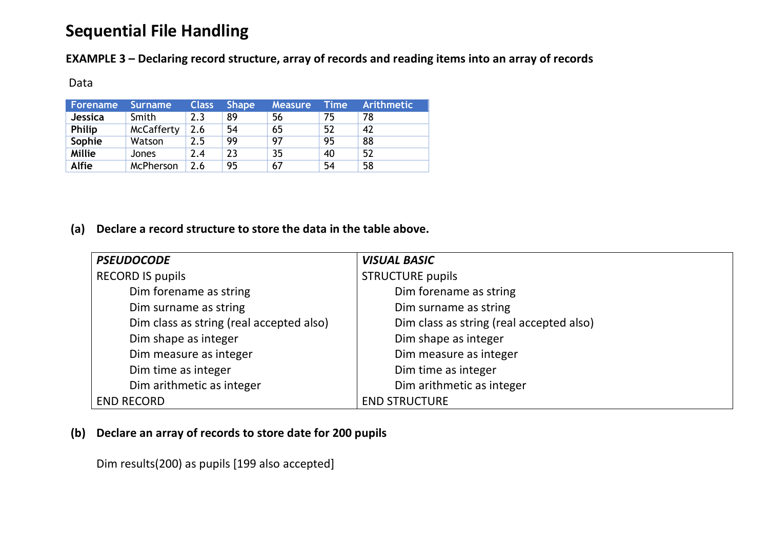# **Sequential File Handling**

**EXAMPLE 3 – Declaring record structure, array of records and reading items into an array of records**

#### Data

| Forename       | <b>Surname</b>    | <b>Class</b> | <b>Shape</b> | Measure, | <b>Time</b> | <b>Arithmetic</b> |
|----------------|-------------------|--------------|--------------|----------|-------------|-------------------|
| <b>Jessica</b> | Smith             | 2.3          | 89           | 56       | 75          | 78                |
| <b>Philip</b>  | <b>McCafferty</b> | 2.6          | 54           | 65       | 52          | 42                |
| Sophie         | Watson            | 2.5          | 99           | 97       | 95          | 88                |
| <b>Millie</b>  | <b>Jones</b>      | 2.4          | 23           | 35       | 40          | 52                |
| <b>Alfie</b>   | McPherson         | 2.6          | 95           | 67       | 54          | 58                |

#### **(a) Declare a record structure to store the data in the table above.**

| <b>PSEUDOCODE</b>                        | <b>VISUAL BASIC</b>                      |
|------------------------------------------|------------------------------------------|
| <b>RECORD IS pupils</b>                  | <b>STRUCTURE pupils</b>                  |
| Dim forename as string                   | Dim forename as string                   |
| Dim surname as string                    | Dim surname as string                    |
| Dim class as string (real accepted also) | Dim class as string (real accepted also) |
| Dim shape as integer                     | Dim shape as integer                     |
| Dim measure as integer                   | Dim measure as integer                   |
| Dim time as integer                      | Dim time as integer                      |
| Dim arithmetic as integer                | Dim arithmetic as integer                |
| <b>END RECORD</b>                        | <b>END STRUCTURE</b>                     |

## **(b) Declare an array of records to store date for 200 pupils**

Dim results(200) as pupils [199 also accepted]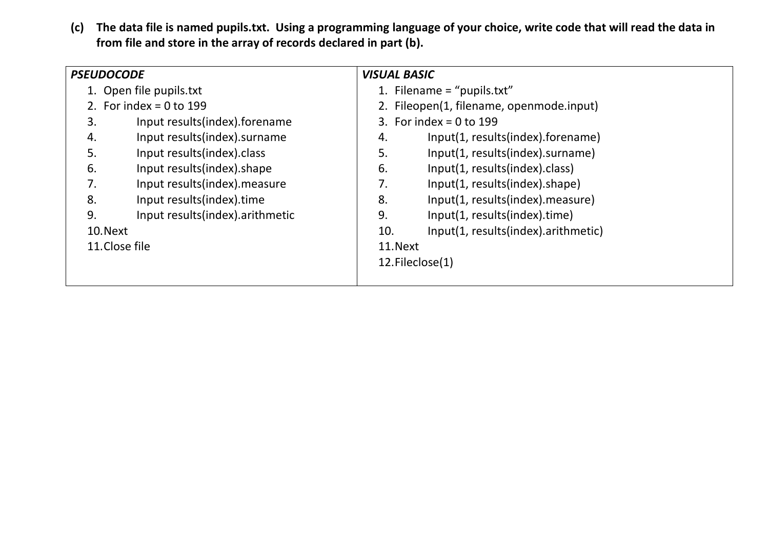**(c) The data file is named pupils.txt. Using a programming language of your choice, write code that will read the data in from file and store in the array of records declared in part (b).**

|    | <b>PSEUDOCODE</b>               |          | <b>VISUAL BASIC</b>                      |  |  |
|----|---------------------------------|----------|------------------------------------------|--|--|
|    | 1. Open file pupils.txt         |          | 1. Filename = "pupils.txt"               |  |  |
|    | 2. For index = $0$ to 199       |          | 2. Fileopen(1, filename, openmode.input) |  |  |
| 3. | Input results(index).forename   |          | 3. For index = $0$ to 199                |  |  |
| 4. | Input results(index).surname    | 4.       | Input(1, results(index).forename)        |  |  |
| 5. | Input results(index).class      | 5.       | Input(1, results(index).surname)         |  |  |
| 6. | Input results(index).shape      | 6.       | Input(1, results(index).class)           |  |  |
| 7. | Input results(index).measure    | 7.       | Input(1, results(index).shape)           |  |  |
| 8. | Input results(index).time       | 8.       | Input(1, results(index).measure)         |  |  |
| 9. | Input results(index).arithmetic | 9.       | Input(1, results(index).time)            |  |  |
|    | 10. Next                        | 10.      | Input(1, results(index).arithmetic)      |  |  |
|    | 11. Close file                  | 11. Next |                                          |  |  |
|    |                                 |          | 12. Fileclose(1)                         |  |  |
|    |                                 |          |                                          |  |  |